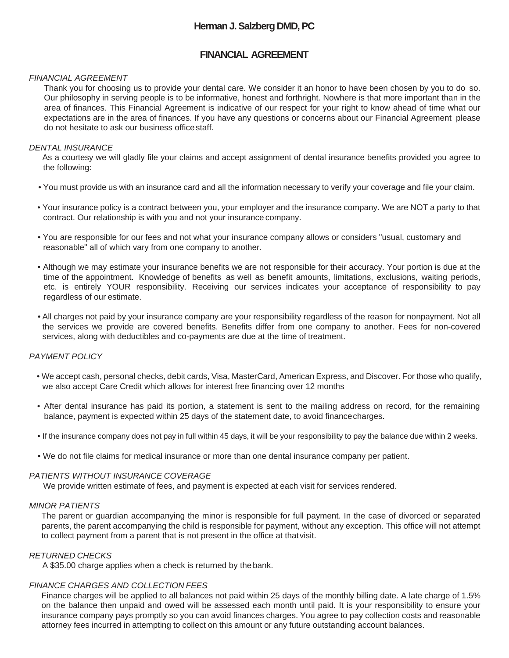# **Herman J. Salzberg DMD, PC**

# **FINANCIAL AGREEMENT**

### *FINANCIAL AGREEMENT*

Thank you for choosing us to provide your dental care. We consider it an honor to have been chosen by you to do so. Our philosophy in serving people is to be informative, honest and forthright. Nowhere is that more important than in the area of finances. This Financial Agreement is indicative of our respect for your right to know ahead of time what our expectations are in the area of finances. If you have any questions or concerns about our Financial Agreement please do not hesitate to ask our business office staff.

### *DENTAL INSURANCE*

As a courtesy we will gladly file your claims and accept assignment of dental insurance benefits provided you agree to the following:

- You must provide us with an insurance card and all the information necessary to verify your coverage and file your claim.
- Your insurance policy is a contract between you, your employer and the insurance company. We are NOT a party to that contract. Our relationship is with you and not your insurance company.
- You are responsible for our fees and not what your insurance company allows or considers "usual, customary and reasonable" all of which vary from one company to another.
- Although we may estimate your insurance benefits we are not responsible for their accuracy. Your portion is due at the time of the appointment. Knowledge of benefits as well as benefit amounts, limitations, exclusions, waiting periods, etc. is entirely YOUR responsibility. Receiving our services indicates your acceptance of responsibility to pay regardless of our estimate.
- All charges not paid by your insurance company are your responsibility regardless of the reason for nonpayment. Not all the services we provide are covered benefits. Benefits differ from one company to another. Fees for non-covered services, along with deductibles and co-payments are due at the time of treatment.

### *PAYMENT POLICY*

- We accept cash, personal checks, debit cards, Visa, MasterCard, American Express, and Discover. For those who qualify, we also accept Care Credit which allows for interest free financing over 12 months
- After dental insurance has paid its portion, a statement is sent to the mailing address on record, for the remaining balance, payment is expected within 25 days of the statement date, to avoid finance charges.
- If the insurance company does not pay in full within 45 days, it will be your responsibility to pay the balance due within 2 weeks.
- We do not file claims for medical insurance or more than one dental insurance company per patient.

#### *PATIENTS WITHOUT INSURANCE COVERAGE*

We provide written estimate of fees, and payment is expected at each visit for services rendered.

#### *MINOR PATIENTS*

The parent or guardian accompanying the minor is responsible for full payment. In the case of divorced or separated parents, the parent accompanying the child is responsible for payment, without any exception. This office will not attempt to collect payment from a parent that is not present in the office at that visit.

### *RETURNED CHECKS*

A \$35.00 charge applies when a check is returned by the bank.

### *FINANCE CHARGES AND COLLECTION FEES*

Finance charges will be applied to all balances not paid within 25 days of the monthly billing date. A late charge of 1.5% on the balance then unpaid and owed will be assessed each month until paid. It is your responsibility to ensure your insurance company pays promptly so you can avoid finances charges. You agree to pay collection costs and reasonable attorney fees incurred in attempting to collect on this amount or any future outstanding account balances.